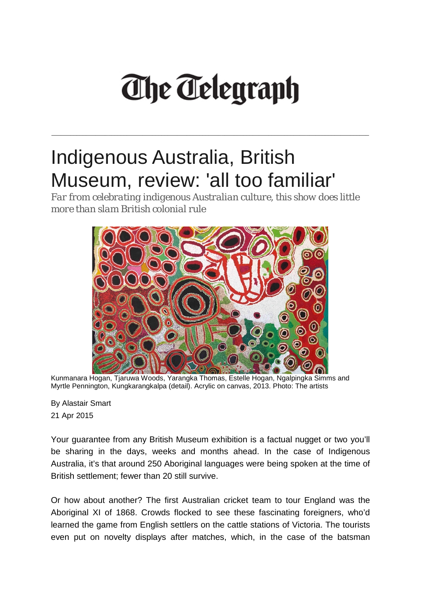## **The Telegraph**

\_\_\_\_\_\_\_\_\_\_\_\_\_\_\_\_\_\_\_\_\_\_\_\_\_\_\_\_\_\_\_\_\_\_\_\_\_\_\_\_\_\_\_\_\_\_\_\_\_\_\_\_\_\_\_\_\_\_\_\_\_\_\_\_\_\_\_\_\_\_\_\_\_\_\_\_\_\_\_\_\_\_\_\_\_\_\_\_\_\_\_\_\_\_\_\_\_\_\_\_\_

## Indigenous Australia, British Museum, review: 'all too familiar'

*Far from celebrating indigenous Australian culture, this show does little more than slam British colonial rule*



Kunmanara Hogan, Tjaruwa Woods, Yarangka Thomas, Estelle Hogan, Ngalpingka Simms and Myrtle Pennington, Kungkarangkalpa (detail). Acrylic on canvas, 2013. Photo: The artists

By [Alastair Smart](http://www.telegraph.co.uk/journalists/alastair-smart/) 21 Apr 2015

Your guarantee from any British Museum exhibition is a factual nugget or two you'll be sharing in the days, weeks and months ahead. In the case of Indigenous Australia, it's that around 250 Aboriginal languages were being spoken at the time of British settlement; fewer than 20 still survive.

Or how about another? The first Australian cricket team to tour England was the Aboriginal XI of 1868. Crowds flocked to see these fascinating foreigners, who'd learned the game from English settlers on the cattle stations of Victoria. The tourists even put on novelty displays after matches, which, in the case of the batsman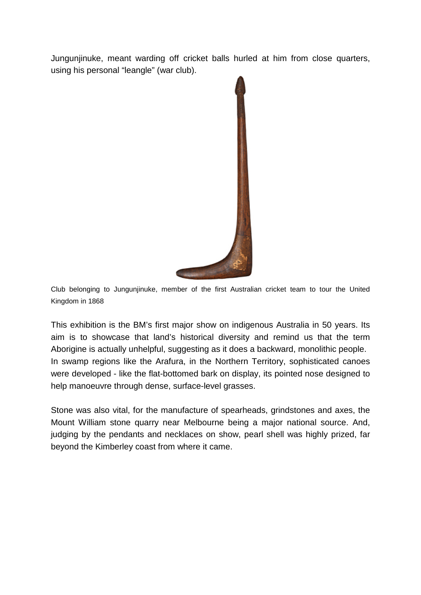Jungunjinuke, meant warding off cricket balls hurled at him from close quarters, using his personal "leangle" (war club).



Club belonging to Jungunjinuke, member of the first Australian cricket team to tour the United Kingdom in 1868

This exhibition is the BM's first major show on indigenous Australia in 50 years. Its aim is to showcase that land's historical diversity and remind us that the term Aborigine is actually unhelpful, suggesting as it does a backward, monolithic people. In swamp regions like the Arafura, in the Northern Territory, sophisticated canoes were developed - like the flat-bottomed bark on display, its pointed nose designed to help manoeuvre through dense, surface-level grasses.

Stone was also vital, for the manufacture of spearheads, grindstones and axes, the Mount William stone quarry near Melbourne being a major national source. And, judging by the pendants and necklaces on show, pearl shell was highly prized, far beyond the Kimberley coast from where it came.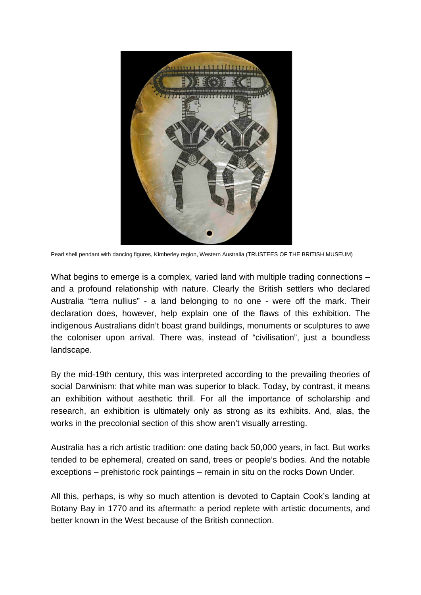

Pearl shell pendant with dancing figures, Kimberley region, Western Australia (TRUSTEES OF THE BRITISH MUSEUM)

What begins to emerge is a complex, varied land with multiple trading connections – and a profound relationship with nature. Clearly the British settlers who declared Australia "terra nullius" - a land belonging to no one - were off the mark. Their declaration does, however, help explain one of the flaws of this exhibition. The indigenous Australians didn't boast grand buildings, monuments or sculptures to awe the coloniser upon arrival. There was, instead of "civilisation", just a boundless landscape.

By the mid-19th century, this was interpreted according to the prevailing theories of social Darwinism: that white man was superior to black. Today, by contrast, it means an exhibition without aesthetic thrill. For all the importance of scholarship and research, an exhibition is ultimately only as strong as its exhibits. And, alas, the works in the precolonial section of this show aren't visually arresting.

Australia has a rich artistic tradition: one dating back 50,000 years, in fact. But works tended to be ephemeral, created on sand, trees or people's bodies. And the notable exceptions – prehistoric rock paintings – remain in situ on the rocks Down Under.

All this, perhaps, is why so much attention is devoted to Captain Cook's landing at Botany Bay in 1770 and its aftermath: a period replete with artistic documents, and better known in the West because of the British connection.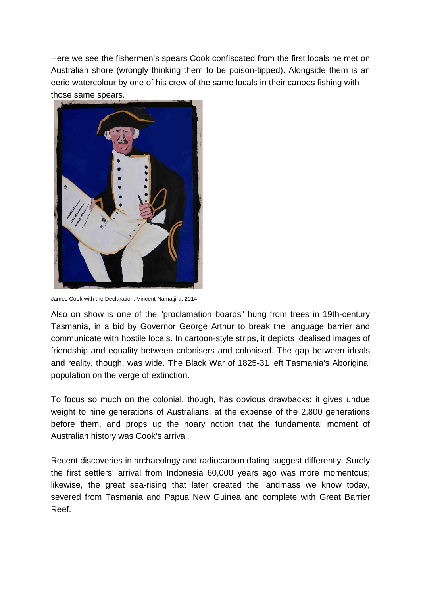Here we see the fishermen's spears Cook confiscated from the first locals he met on Australian shore (wrongly thinking them to be poison-tipped). Alongside them is an eerie watercolour by one of his crew of the same locals in their canoes fishing with those same spears.



James Cook with the Declaration, Vincent Namatjira, 2014

Also on show is one of the "proclamation boards" hung from trees in 19th-century Tasmania, in a bid by Governor George Arthur to break the language barrier and communicate with hostile locals. In cartoon-style strips, it depicts idealised images of friendship and equality between colonisers and colonised. The gap between ideals and reality, though, was wide. The Black War of 1825-31 left Tasmania's Aboriginal population on the verge of extinction.

To focus so much on the colonial, though, has obvious drawbacks: it gives undue weight to nine generations of Australians, at the expense of the 2,800 generations before them, and props up the hoary notion that the fundamental moment of Australian history was Cook's arrival.

Recent discoveries in archaeology and radiocarbon dating suggest differently. Surely the first settlers' arrival from Indonesia 60,000 years ago was more momentous; likewise, the great sea-rising that later created the landmass we know today, severed from Tasmania and Papua New Guinea and complete with Great Barrier Reef.